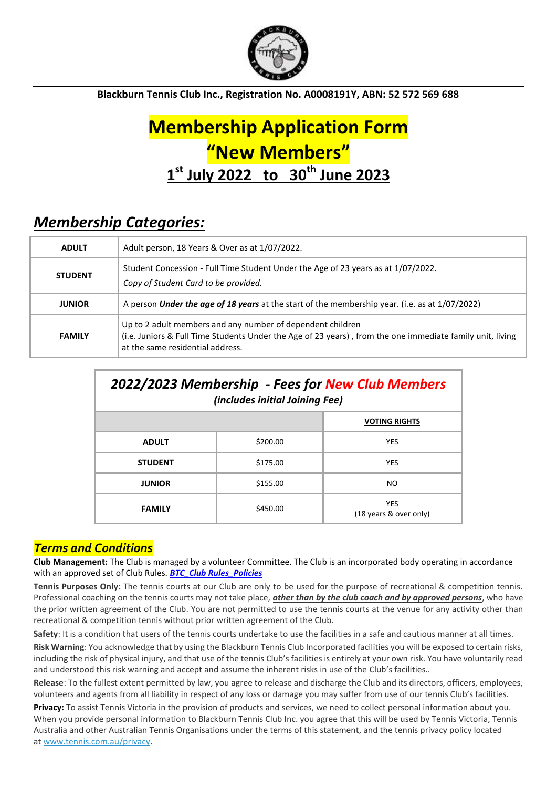

**Blackburn Tennis Club Inc., Registration No. A0008191Y, ABN: 52 572 569 688**

# **Membership Application Form "New Members" 1 st July 2022 to 30th June 2023**

# *Membership Categories:*

| <b>ADULT</b>   | Adult person, 18 Years & Over as at 1/07/2022.                                                                                                                                                              |
|----------------|-------------------------------------------------------------------------------------------------------------------------------------------------------------------------------------------------------------|
| <b>STUDENT</b> | Student Concession - Full Time Student Under the Age of 23 years as at 1/07/2022.<br>Copy of Student Card to be provided.                                                                                   |
| <b>JUNIOR</b>  | A person <i>Under the age of 18 years</i> at the start of the membership year. (i.e. as at 1/07/2022)                                                                                                       |
| <b>FAMILY</b>  | Up to 2 adult members and any number of dependent children<br>(i.e. Juniors & Full Time Students Under the Age of 23 years), from the one immediate family unit, living<br>at the same residential address. |

| 2022/2023 Membership - Fees for New Club Members<br>(includes initial Joining Fee) |          |                                      |  |  |  |
|------------------------------------------------------------------------------------|----------|--------------------------------------|--|--|--|
|                                                                                    |          | <b>VOTING RIGHTS</b>                 |  |  |  |
| <b>ADULT</b>                                                                       | \$200.00 | <b>YES</b>                           |  |  |  |
| <b>STUDENT</b>                                                                     | \$175.00 | <b>YES</b>                           |  |  |  |
| <b>JUNIOR</b>                                                                      | \$155.00 | NO.                                  |  |  |  |
| <b>FAMILY</b>                                                                      | \$450.00 | <b>YES</b><br>(18 years & over only) |  |  |  |

### *Terms and Conditions*

**Club Management:** The Club is managed by a volunteer Committee. The Club is an incorporated body operating in accordance with an approved set of Club Rules. *[BTC\\_Club Rules\\_Policies](https://www.blackburntc.com/policiesclub-rules.html)*

**Tennis Purposes Only**: The tennis courts at our Club are only to be used for the purpose of recreational & competition tennis. Professional coaching on the tennis courts may not take place, *other than by the club coach and by approved persons*, who have the prior written agreement of the Club. You are not permitted to use the tennis courts at the venue for any activity other than recreational & competition tennis without prior written agreement of the Club.

**Safety**: It is a condition that users of the tennis courts undertake to use the facilities in a safe and cautious manner at all times. **Risk Warning**: You acknowledge that by using the Blackburn Tennis Club Incorporated facilities you will be exposed to certain risks, including the risk of physical injury, and that use of the tennis Club's facilities is entirely at your own risk. You have voluntarily read and understood this risk warning and accept and assume the inherent risks in use of the Club's facilities..

**Release**: To the fullest extent permitted by law, you agree to release and discharge the Club and its directors, officers, employees, volunteers and agents from all liability in respect of any loss or damage you may suffer from use of our tennis Club's facilities.

**Privacy:** To assist Tennis Victoria in the provision of products and services, we need to collect personal information about you. When you provide personal information to Blackburn Tennis Club Inc. you agree that this will be used by Tennis Victoria, Tennis Australia and other Australian Tennis Organisations under the terms of this statement, and the tennis privacy policy located at [www.tennis.com.au/privacy.](http://www.tennis.com.au/privacy)